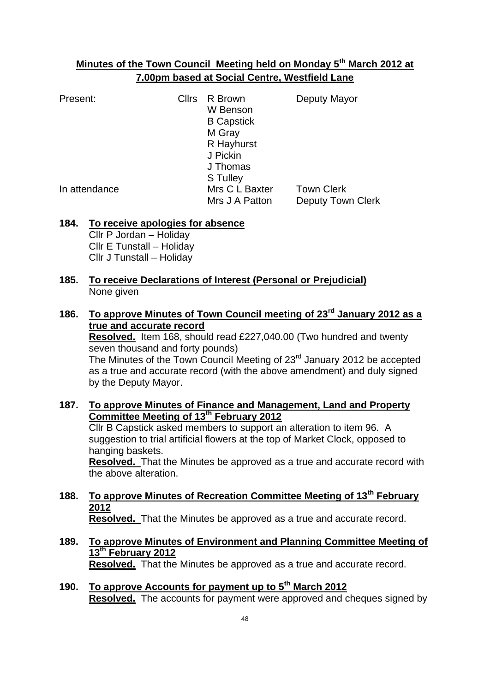# **Minutes of the Town Council Meeting held on Monday 5th March 2012 at 7.00pm based at Social Centre, Westfield Lane**

Present: Cllrs R Brown Deputy Mayor W Benson B Capstick M Gray R Hayhurst J Pickin J Thomas S Tulley In attendance Mrs C L Baxter Town Clerk Mrs J A Patton Deputy Town Clerk

# **184. To receive apologies for absence**

Cllr P Jordan – Holiday Cllr E Tunstall – Holiday Cllr J Tunstall – Holiday

# **185. To receive Declarations of Interest (Personal or Prejudicial)** None given

**186. To approve Minutes of Town Council meeting of 23rd January 2012 as a true and accurate record**

**Resolved.** Item 168, should read £227,040.00 (Two hundred and twenty seven thousand and forty pounds)

The Minutes of the Town Council Meeting of 23<sup>rd</sup> January 2012 be accepted as a true and accurate record (with the above amendment) and duly signed by the Deputy Mayor.

- **187. To approve Minutes of Finance and Management, Land and Property Committee Meeting of 13th February 2012** Cllr B Capstick asked members to support an alteration to item 96. A suggestion to trial artificial flowers at the top of Market Clock, opposed to hanging baskets. **Resolved.** That the Minutes be approved as a true and accurate record with the above alteration.
- **188. To approve Minutes of Recreation Committee Meeting of 13th February 2012 Resolved.** That the Minutes be approved as a true and accurate record.
- **189. To approve Minutes of Environment and Planning Committee Meeting of 13th February 2012 Resolved.** That the Minutes be approved as a true and accurate record.
- **190. To approve Accounts for payment up to 5th March 2012 Resolved.** The accounts for payment were approved and cheques signed by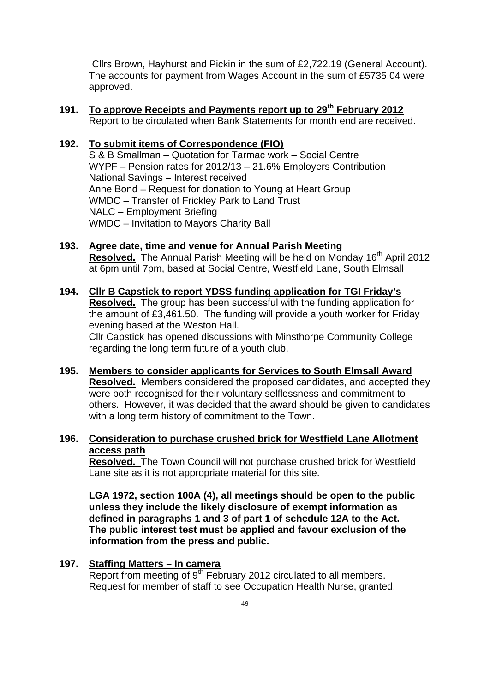Cllrs Brown, Hayhurst and Pickin in the sum of £2,722.19 (General Account). The accounts for payment from Wages Account in the sum of £5735.04 were approved.

**191. To approve Receipts and Payments report up to 29th February 2012** Report to be circulated when Bank Statements for month end are received.

### **192. To submit items of Correspondence (FIO)**

S & B Smallman – Quotation for Tarmac work – Social Centre WYPF – Pension rates for 2012/13 – 21.6% Employers Contribution National Savings – Interest received Anne Bond – Request for donation to Young at Heart Group WMDC – Transfer of Frickley Park to Land Trust NALC – Employment Briefing WMDC – Invitation to Mayors Charity Ball

- **193. Agree date, time and venue for Annual Parish Meeting Resolved.** The Annual Parish Meeting will be held on Monday 16<sup>th</sup> April 2012 at 6pm until 7pm, based at Social Centre, Westfield Lane, South Elmsall
- **194. Cllr B Capstick to report YDSS funding application for TGI Friday's Resolved.** The group has been successful with the funding application for the amount of £3,461.50. The funding will provide a youth worker for Friday evening based at the Weston Hall. Cllr Capstick has opened discussions with Minsthorpe Community College regarding the long term future of a youth club.
- **195. Members to consider applicants for Services to South Elmsall Award Resolved.** Members considered the proposed candidates, and accepted they were both recognised for their voluntary selflessness and commitment to others. However, it was decided that the award should be given to candidates with a long term history of commitment to the Town.
- **196. Consideration to purchase crushed brick for Westfield Lane Allotment access path**

**Resolved.** The Town Council will not purchase crushed brick for Westfield Lane site as it is not appropriate material for this site.

**LGA 1972, section 100A (4), all meetings should be open to the public unless they include the likely disclosure of exempt information as defined in paragraphs 1 and 3 of part 1 of schedule 12A to the Act. The public interest test must be applied and favour exclusion of the information from the press and public.**

#### **197. Staffing Matters – In camera**

Report from meeting of 9<sup>th</sup> February 2012 circulated to all members. Request for member of staff to see Occupation Health Nurse, granted.